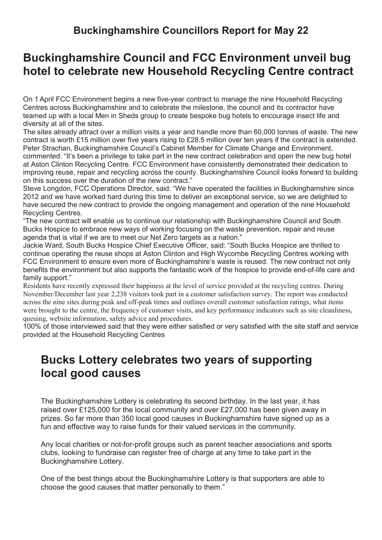### **Buckinghamshire Councillors Report for May 22**

# **Buckinghamshire Council and FCC Environment unveil bug hotel to celebrate new Household Recycling Centre contract**

On 1 April FCC Environment begins a new five-year contract to manage the nine Household Recycling Centres across Buckinghamshire and to celebrate the milestone, the council and its contractor have teamed up with a local Men in Sheds group to create bespoke bug hotels to encourage insect life and diversity at all of the sites.

The sites already attract over a million visits a year and handle more than 60,000 tonnes of waste. The new contract is worth £15 million over five years rising to £28.5 million over ten years if the contract is extended. Peter Strachan, Buckinghamshire Council's Cabinet Member for Climate Change and Environment, commented: "It's been a privilege to take part in the new contract celebration and open the new bug hotel at Aston Clinton Recycling Centre. FCC Environment have consistently demonstrated their dedication to improving reuse, repair and recycling across the county. Buckinghamshire Council looks forward to building on this success over the duration of the new contract."

Steve Longdon, FCC Operations Director, said: "We have operated the facilities in Buckinghamshire since 2012 and we have worked hard during this time to deliver an exceptional service, so we are delighted to have secured the new contract to provide the ongoing management and operation of the nine Household Recycling Centres.

"The new contract will enable us to continue our relationship with Buckinghamshire Council and South Bucks Hospice to embrace new ways of working focusing on the waste prevention, repair and reuse agenda that is vital if we are to meet our Net Zero targets as a nation."

Jackie Ward, South Bucks Hospice Chief Executive Officer, said: "South Bucks Hospice are thrilled to continue operating the reuse shops at Aston Clinton and High Wycombe Recycling Centres working with FCC Environment to ensure even more of Buckinghamshire's waste is reused. The new contract not only benefits the environment but also supports the fantastic work of the hospice to provide end-of-life care and family support."

Residents have recently expressed their happiness at the level of service provided at the recycling centres. During November/December last year 2,238 visitors took part in a customer satisfaction survey. The report was conducted across the nine sites during peak and off-peak times and outlines overall customer satisfaction ratings, what items were brought to the centre, the frequency of customer visits, and key performance indicators such as site cleanliness, queuing, website information, safety advice and procedures.

100% of those interviewed said that they were either satisfied or very satisfied with the site staff and service provided at the Household Recycling Centres

# **Bucks Lottery celebrates two years of supporting local good causes**

The Buckinghamshire Lottery is celebrating its second birthday. In the last year, it has raised over £125,000 for the local community and over £27,000 has been given away in prizes. So far more than 350 local good causes in Buckinghamshire have signed up as a fun and effective way to raise funds for their valued services in the community.

Any local charities or not-for-profit groups such as parent teacher associations and sports clubs, looking to fundraise can register free of charge at any time to take part in the Buckinghamshire Lottery.

One of the best things about the Buckinghamshire Lottery is that supporters are able to choose the good causes that matter personally to them."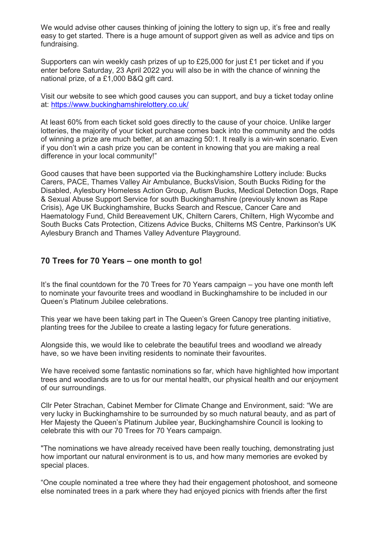We would advise other causes thinking of joining the lottery to sign up, it's free and really easy to get started. There is a huge amount of support given as well as advice and tips on fundraising.

Supporters can win weekly cash prizes of up to £25,000 for just £1 per ticket and if you enter before Saturday, 23 April 2022 you will also be in with the chance of winning the national prize, of a £1,000 B&Q gift card.

Visit our website to see which good causes you can support, and buy a ticket today online at: [https://www.buckinghamshirelottery.co.uk/](https://eur03.safelinks.protection.outlook.com/?url=http%3A%2F%2Ftracking.news.buckinghamshire.gov.uk%2Ftracking%2Fclick%3Fd%3DNyIhcGGooR5LQ6Kj56r206FUyLa1Nv21oH7jhANpHtnpdbsFpd427MKrB5KV2i5mg--_rp0Tei_y-zT5pZ7cIRuK9kLIU4f49tbWFjzNCQXy_s8LB-JqZddjpuHHwmIrw4Pwylwt1zpcrnE-jVP30fXuIAsoO0YBYSGoXEBd7DvvTXmLIxhuEe9DLTkAoH8-iydpxS3odgONwnBzk12g5UyLLuDXkjQrW1mBfxp5d8l0w6vCQy0kjkBspDmrI_MrE3KkMiuPxGOGqi7vgcPQTIR25iIqTlmjooUYQ-olzS3EbfjNpPTIdGzPcpLB2yiCLYVCa6y71NNpafxeEKnA8R88RheT6XL46HLJD7g9jCjd__FRFtzUIpsQ1HESXePydsAANZaCfjaPC6XX8FU_FSlCXbJa_cu5MVr54CPy0j_uSzJjdfEMxKR8e1ua9D4F2G-PNxvsRnydE9U1VPs36T33vnh2Q5H4n-qpBx0PS_Nehvcup9iLc5bEjtsrKbNiVPySkrin97RJqFERWc-e1j38qgzjOxOy3OzHYrWXwKMtei5OESk6FzaJvuDtK4wIPojb3Xi34sIOtamLujKX4SFRms3hTwMYMdlZaXfXYuY3jFUM3ry63lBoS6069KYQtV6wxsUyYKOqP2wc6oa6MsU1&data=04%7C01%7Cderek.town%40buckinghamshire.gov.uk%7C62ab52010de64ad0498a08da13caa27f%7C7fb976b99e2848e180861ddabecf82a0%7C0%7C0%7C637844058274504984%7CUnknown%7CTWFpbGZsb3d8eyJWIjoiMC4wLjAwMDAiLCJQIjoiV2luMzIiLCJBTiI6Ik1haWwiLCJXVCI6Mn0%3D%7C3000&sdata=QriT0xbAvqhxG1sPZUjPyVVUyg%2FwO64z%2BxNdhHT7Fd4%3D&reserved=0)

At least 60% from each ticket sold goes directly to the cause of your choice. Unlike larger lotteries, the majority of your ticket purchase comes back into the community and the odds of winning a prize are much better, at an amazing 50:1. It really is a win-win scenario. Even if you don't win a cash prize you can be content in knowing that you are making a real difference in your local community!"

Good causes that have been supported via the Buckinghamshire Lottery include: Bucks Carers, PACE, Thames Valley Air Ambulance, BucksVision, South Bucks Riding for the Disabled, Aylesbury Homeless Action Group, Autism Bucks, Medical Detection Dogs, Rape & Sexual Abuse Support Service for south Buckinghamshire (previously known as Rape Crisis), Age UK Buckinghamshire, Bucks Search and Rescue, Cancer Care and Haematology Fund, Child Bereavement UK, Chiltern Carers, Chiltern, High Wycombe and South Bucks Cats Protection, Citizens Advice Bucks, Chilterns MS Centre, Parkinson's UK Aylesbury Branch and Thames Valley Adventure Playground.

#### **70 Trees for 70 Years – one month to go!**

It's the final countdown for the 70 Trees for 70 Years campaign – you have one month left to nominate your favourite trees and woodland in Buckinghamshire to be included in our Queen's Platinum Jubilee celebrations.

This year we have been taking part in The Queen's Green Canopy tree planting initiative, planting trees for the Jubilee to create a lasting legacy for future generations.

Alongside this, we would like to celebrate the beautiful trees and woodland we already have, so we have been inviting residents to nominate their favourites.

We have received some fantastic nominations so far, which have highlighted how important trees and woodlands are to us for our mental health, our physical health and our enjoyment of our surroundings.

Cllr Peter Strachan, Cabinet Member for Climate Change and Environment, said: "We are very lucky in Buckinghamshire to be surrounded by so much natural beauty, and as part of Her Majesty the Queen's Platinum Jubilee year, Buckinghamshire Council is looking to celebrate this with our 70 Trees for 70 Years campaign.

"The nominations we have already received have been really touching, demonstrating just how important our natural environment is to us, and how many memories are evoked by special places.

"One couple nominated a tree where they had their engagement photoshoot, and someone else nominated trees in a park where they had enjoyed picnics with friends after the first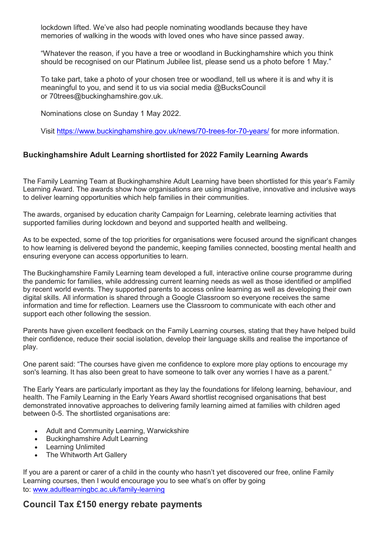lockdown lifted. We've also had people nominating woodlands because they have memories of walking in the woods with loved ones who have since passed away.

"Whatever the reason, if you have a tree or woodland in Buckinghamshire which you think should be recognised on our Platinum Jubilee list, please send us a photo before 1 May."

To take part, take a photo of your chosen tree or woodland, tell us where it is and why it is meaningful to you, and send it to us via social media @BucksCouncil or 70trees@buckinghamshire.gov.uk.

Nominations close on Sunday 1 May 2022.

Visit [https://www.buckinghamshire.gov.uk/news/70-trees-for-70-years/](https://eur03.safelinks.protection.outlook.com/?url=http%3A%2F%2Ftracking.news.buckinghamshire.gov.uk%2Ftracking%2Fclick%3Fd%3DCwBBZVbWtWnUuCGAOdIr1ynAVi8NzZ9G4QGQynApJYsBqWYTezWvhfWCnWDECReY9MgzPtU8D1olcrMAbo0ySnCD-hvKrC6zdl7IDyRGfjmu_ulgbnBSATKW5oxrFpUBvpqEu2S019n5fpyDbXEdUTZH28utZ7Z9r_vEfoOO8lEIOis3qUsj5PC-CeeYDEOUiw2&data=04%7C01%7Cderek.town%40buckinghamshire.gov.uk%7Cd2b0d5af4e854d2b735008da13e80a72%7C7fb976b99e2848e180861ddabecf82a0%7C0%7C0%7C637844184572080878%7CUnknown%7CTWFpbGZsb3d8eyJWIjoiMC4wLjAwMDAiLCJQIjoiV2luMzIiLCJBTiI6Ik1haWwiLCJXVCI6Mn0%3D%7C3000&sdata=e6u32OcUnKj8Hxrjjvf%2Fe44KeVrB7fgfFo7H0CLbJ2M%3D&reserved=0) for more information.

#### **Buckinghamshire Adult Learning shortlisted for 2022 Family Learning Awards**

The Family Learning Team at Buckinghamshire Adult Learning have been shortlisted for this year's Family Learning Award. The awards show how organisations are using imaginative, innovative and inclusive ways to deliver learning opportunities which help families in their communities.

The awards, organised by education charity Campaign for Learning, celebrate learning activities that supported families during lockdown and beyond and supported health and wellbeing.

As to be expected, some of the top priorities for organisations were focused around the significant changes to how learning is delivered beyond the pandemic, keeping families connected, boosting mental health and ensuring everyone can access opportunities to learn.

The Buckinghamshire Family Learning team developed a full, interactive online course programme during the pandemic for families, while addressing current learning needs as well as those identified or amplified by recent world events. They supported parents to access online learning as well as developing their own digital skills. All information is shared through a Google Classroom so everyone receives the same information and time for reflection. Learners use the Classroom to communicate with each other and support each other following the session.

Parents have given excellent feedback on the Family Learning courses, stating that they have helped build their confidence, reduce their social isolation, develop their language skills and realise the importance of play.

One parent said: "The courses have given me confidence to explore more play options to encourage my son's learning. It has also been great to have someone to talk over any worries I have as a parent."

The Early Years are particularly important as they lay the foundations for lifelong learning, behaviour, and health. The Family Learning in the Early Years Award shortlist recognised organisations that best demonstrated innovative approaches to delivering family learning aimed at families with children aged between 0-5. The shortlisted organisations are:

- Adult and Community Learning, Warwickshire
- Buckinghamshire Adult Learning
- Learning Unlimited
- The Whitworth Art Gallery

If you are a parent or carer of a child in the county who hasn't yet discovered our free, online Family Learning courses, then I would encourage you to see what's on offer by going to: [www.adultlearningbc.ac.uk/family-learning](https://eur03.safelinks.protection.outlook.com/?url=http%3A%2F%2Ftracking.news.buckinghamshire.gov.uk%2Ftracking%2Fclick%3Fd%3DQcbjT3N-KMHqlrDc4Vjcq8NexX6xV-2SRuhz1aNqkhvrIWsPsg7KgGZyd0g1ZhbWCW9Cxyb3RF_JBKeUaR3LqKrXzSHFewIFu6vY7rJPTCQQxLndMfDJZMml-Ki3nuv18EiaLPmOWKUV2rcceymF4P9EVejGMuv2dsUuDMIARcUf0&data=04%7C01%7Cderek.town%40buckinghamshire.gov.uk%7C815e6cbc4be94aff2eb708da1bbc1b0f%7C7fb976b99e2848e180861ddabecf82a0%7C0%7C0%7C637852791965021658%7CUnknown%7CTWFpbGZsb3d8eyJWIjoiMC4wLjAwMDAiLCJQIjoiV2luMzIiLCJBTiI6Ik1haWwiLCJXVCI6Mn0%3D%7C3000&sdata=pbCCpVS5ud0pde3NvVUerzUO5yRnIBjBc2kalbz3nmc%3D&reserved=0)

#### **Council Tax £150 energy rebate payments**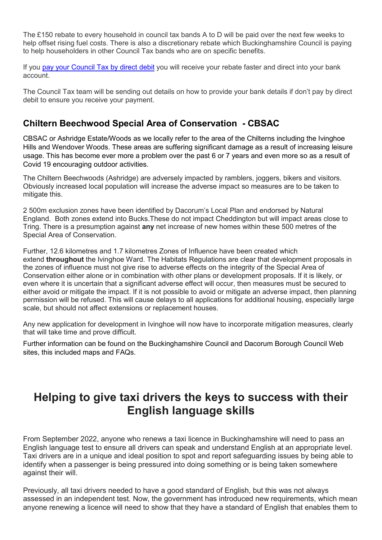The £150 rebate to every household in council tax bands A to D will be paid over the next few weeks to help offset rising fuel costs. There is also a discretionary rebate which Buckinghamshire Council is paying to help householders in other Council Tax bands who are on specific benefits.

If you pay your [Council](https://eur03.safelinks.protection.outlook.com/?url=https%3A%2F%2Fenews.buckinghamshire.gov.uk%2F5438-J11I-3YYL48-E9S9L-1%2Fc.aspx&data=04%7C01%7Cderek.town%40buckinghamshire.gov.uk%7C6d88585c23114d3bca2b08da1e254c88%7C7fb976b99e2848e180861ddabecf82a0%7C0%7C0%7C637855442809626829%7CUnknown%7CTWFpbGZsb3d8eyJWIjoiMC4wLjAwMDAiLCJQIjoiV2luMzIiLCJBTiI6Ik1haWwiLCJXVCI6Mn0%3D%7C3000&sdata=uFQnq29tpbSNr%2BK%2F8yrr%2FhAFuYhqBtmVeUANteDupO4%3D&reserved=0) Tax by direct debit you will receive your rebate faster and direct into your bank account.

The Council Tax team will be sending out details on how to provide your bank details if don't pay by direct debit to ensure you receive your payment.

### **Chiltern Beechwood Special Area of Conservation - CBSAC**

CBSAC or Ashridge Estate/Woods as we locally refer to the area of the Chilterns including the Ivinghoe Hills and Wendover Woods. These areas are suffering significant damage as a result of increasing leisure usage. This has become ever more a problem over the past 6 or 7 years and even more so as a result of Covid 19 encouraging outdoor activities.

The Chiltern Beechwoods (Ashridge) are adversely impacted by ramblers, joggers, bikers and visitors. Obviously increased local population will increase the adverse impact so measures are to be taken to mitigate this.

2 500m exclusion zones have been identified by Dacorum's Local Plan and endorsed by Natural England. Both zones extend into Bucks.These do not impact Cheddington but will impact areas close to Tring. There is a presumption against **any** net increase of new homes within these 500 metres of the Special Area of Conservation.

Further, 12.6 kilometres and 1.7 kilometres Zones of Influence have been created which extend **throughout** the Ivinghoe Ward. The Habitats Regulations are clear that development proposals in the zones of influence must not give rise to adverse effects on the integrity of the Special Area of Conservation either alone or in combination with other plans or development proposals. If it is likely, or even where it is uncertain that a significant adverse effect will occur, then measures must be secured to either avoid or mitigate the impact. If it is not possible to avoid or mitigate an adverse impact, then planning permission will be refused. This will cause delays to all applications for additional housing, especially large scale, but should not affect extensions or replacement houses.

Any new application for development in Ivinghoe will now have to incorporate mitigation measures, clearly that will take time and prove difficult.

Further information can be found on the Buckinghamshire Council and Dacorum Borough Council Web sites, this included maps and FAQs.

### **Helping to give taxi drivers the keys to success with their English language skills**

From September 2022, anyone who renews a taxi licence in Buckinghamshire will need to pass an English language test to ensure all drivers can speak and understand English at an appropriate level. Taxi drivers are in a unique and ideal position to spot and report safeguarding issues by being able to identify when a passenger is being pressured into doing something or is being taken somewhere against their will.

Previously, all taxi drivers needed to have a good standard of English, but this was not always assessed in an independent test. Now, the government has introduced new requirements, which mean anyone renewing a licence will need to show that they have a standard of English that enables them to